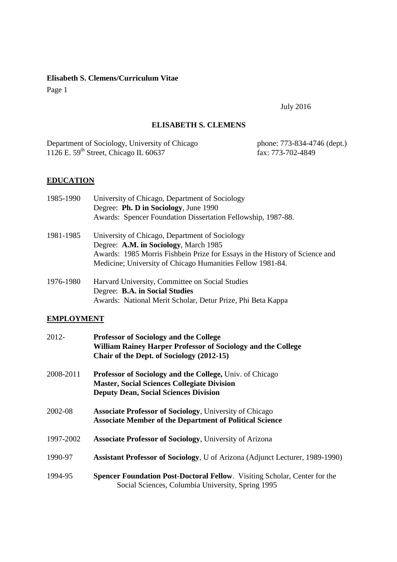Page 1

July 2016

# **ELISABETH S. CLEMENS**

Department of Sociology, University of Chicago phone: 773-834-4746 (dept.) 1126 E. 59<sup>th</sup> Street, Chicago IL 60637 fax: 773-702-4849

# **EDUCATION**

| 1985-1990 | University of Chicago, Department of Sociology                              |
|-----------|-----------------------------------------------------------------------------|
|           | Degree: Ph. D in Sociology, June 1990                                       |
|           | Awards: Spencer Foundation Dissertation Fellowship, 1987-88.                |
| 1981-1985 | University of Chicago, Department of Sociology                              |
|           | Degree: A.M. in Sociology, March 1985                                       |
|           | Awards: 1985 Morris Fishbein Prize for Essays in the History of Science and |
|           | Medicine; University of Chicago Humanities Fellow 1981-84.                  |
| 1976-1980 | Harvard University, Committee on Social Studies                             |
|           | Degree: B.A. in Social Studies                                              |

# Awards: National Merit Scholar, Detur Prize, Phi Beta Kappa

# **EMPLOYMENT**

| 2012-     | <b>Professor of Sociology and the College</b><br>William Rainey Harper Professor of Sociology and the College<br>Chair of the Dept. of Sociology (2012-15)     |
|-----------|----------------------------------------------------------------------------------------------------------------------------------------------------------------|
| 2008-2011 | Professor of Sociology and the College, Univ. of Chicago<br><b>Master, Social Sciences Collegiate Division</b><br><b>Deputy Dean, Social Sciences Division</b> |
| 2002-08   | <b>Associate Professor of Sociology</b> , University of Chicago<br><b>Associate Member of the Department of Political Science</b>                              |
| 1997-2002 | <b>Associate Professor of Sociology</b> , University of Arizona                                                                                                |
| 1990-97   | Assistant Professor of Sociology, U of Arizona (Adjunct Lecturer, 1989-1990)                                                                                   |
| 1994-95   | Spencer Foundation Post-Doctoral Fellow. Visiting Scholar, Center for the<br>Social Sciences, Columbia University, Spring 1995                                 |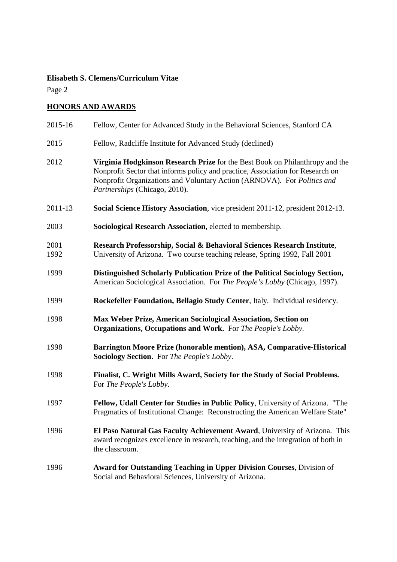Page 2

# **HONORS AND AWARDS**

| 2015-16      | Fellow, Center for Advanced Study in the Behavioral Sciences, Stanford CA                                                                                                                                                                                                  |
|--------------|----------------------------------------------------------------------------------------------------------------------------------------------------------------------------------------------------------------------------------------------------------------------------|
| 2015         | Fellow, Radcliffe Institute for Advanced Study (declined)                                                                                                                                                                                                                  |
| 2012         | Virginia Hodgkinson Research Prize for the Best Book on Philanthropy and the<br>Nonprofit Sector that informs policy and practice, Association for Research on<br>Nonprofit Organizations and Voluntary Action (ARNOVA). For Politics and<br>Partnerships (Chicago, 2010). |
| 2011-13      | Social Science History Association, vice president 2011-12, president 2012-13.                                                                                                                                                                                             |
| 2003         | Sociological Research Association, elected to membership.                                                                                                                                                                                                                  |
| 2001<br>1992 | Research Professorship, Social & Behavioral Sciences Research Institute,<br>University of Arizona. Two course teaching release, Spring 1992, Fall 2001                                                                                                                     |
| 1999         | Distinguished Scholarly Publication Prize of the Political Sociology Section,<br>American Sociological Association. For The People's Lobby (Chicago, 1997).                                                                                                                |
| 1999         | Rockefeller Foundation, Bellagio Study Center, Italy. Individual residency.                                                                                                                                                                                                |
| 1998         | Max Weber Prize, American Sociological Association, Section on<br><b>Organizations, Occupations and Work.</b> For The People's Lobby.                                                                                                                                      |
| 1998         | Barrington Moore Prize (honorable mention), ASA, Comparative-Historical<br><b>Sociology Section.</b> For <i>The People's Lobby</i> .                                                                                                                                       |
| 1998         | Finalist, C. Wright Mills Award, Society for the Study of Social Problems.<br>For The People's Lobby.                                                                                                                                                                      |
| 1997         | Fellow, Udall Center for Studies in Public Policy, University of Arizona. "The<br>Pragmatics of Institutional Change: Reconstructing the American Welfare State"                                                                                                           |
| 1996         | El Paso Natural Gas Faculty Achievement Award, University of Arizona. This<br>award recognizes excellence in research, teaching, and the integration of both in<br>the classroom.                                                                                          |
| 1996         | <b>Award for Outstanding Teaching in Upper Division Courses, Division of</b><br>Social and Behavioral Sciences, University of Arizona.                                                                                                                                     |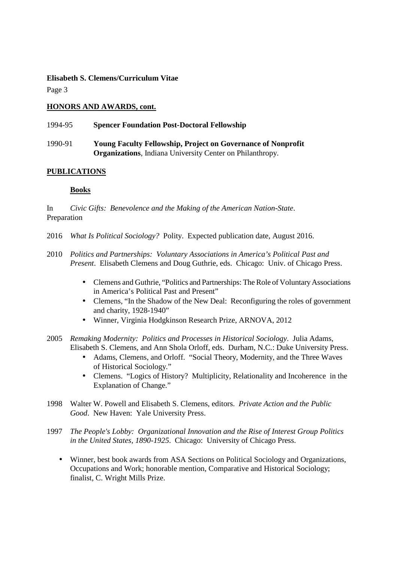Page 3

# **HONORS AND AWARDS, cont.**

| 1994-95 | <b>Spencer Foundation Post-Doctoral Fellowship</b>                  |
|---------|---------------------------------------------------------------------|
| 1990-91 | <b>Young Faculty Fellowship, Project on Governance of Nonprofit</b> |
|         | <b>Organizations</b> , Indiana University Center on Philanthropy.   |

# **PUBLICATIONS**

# **Books**

In *Civic Gifts: Benevolence and the Making of the American Nation-State*. Preparation

- 2016 *What Is Political Sociology?* Polity. Expected publication date, August 2016.
- 2010 *Politics and Partnerships: Voluntary Associations in America's Political Past and Present*. Elisabeth Clemens and Doug Guthrie, eds. Chicago: Univ. of Chicago Press.
	- Clemens and Guthrie, "Politics and Partnerships: The Role of Voluntary Associations in America's Political Past and Present"
	- Clemens, "In the Shadow of the New Deal: Reconfiguring the roles of government and charity, 1928-1940"
	- Winner, Virginia Hodgkinson Research Prize, ARNOVA, 2012
- 2005 *Remaking Modernity: Politics and Processes in Historical Sociology*. Julia Adams, Elisabeth S. Clemens, and Ann Shola Orloff, eds. Durham, N.C.: Duke University Press.
	- Adams, Clemens, and Orloff. "Social Theory, Modernity, and the Three Waves of Historical Sociology."
	- Clemens. "Logics of History? Multiplicity, Relationality and Incoherence in the Explanation of Change."
- 1998 Walter W. Powell and Elisabeth S. Clemens, editors. *Private Action and the Public Good*. New Haven: Yale University Press.
- 1997 *The People's Lobby: Organizational Innovation and the Rise of Interest Group Politics in the United States, 1890-1925*. Chicago: University of Chicago Press.
	- Winner, best book awards from ASA Sections on Political Sociology and Organizations, Occupations and Work; honorable mention, Comparative and Historical Sociology; finalist, C. Wright Mills Prize.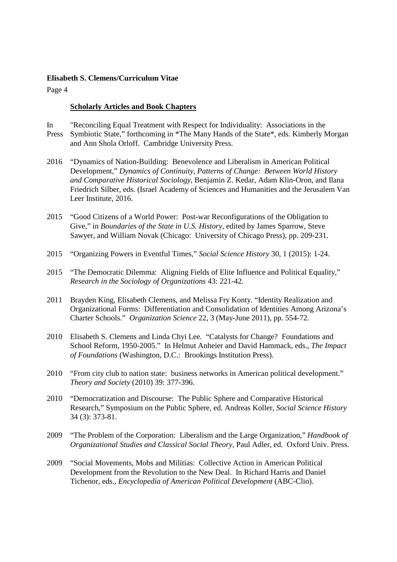Page 4

## **Scholarly Articles and Book Chapters**

- In "Reconciling Equal Treatment with Respect for Individuality: Associations in the Press Symbiotic State," forthcoming in \*The Many Hands of the State\*, eds. Kimberly Morgan and Ann Shola Orloff. Cambridge University Press.
- 2016 "Dynamics of Nation-Building: Benevolence and Liberalism in American Political Development," *Dynamics of Continuity, Patterns of Change: Between World History and Comparative Historical Sociology,* Benjamin Z. Kedar, Adam Klin-Oron, and Ilana Friedrich Silber, eds. (Israel Academy of Sciences and Humanities and the Jerusalem Van Leer Institute, 2016.
- 2015 "Good Citizens of a World Power: Post-war Reconfigurations of the Obligation to Give," in *Boundaries of the State in U.S. History,* edited by James Sparrow, Steve Sawyer, and William Novak (Chicago: University of Chicago Press), pp. 209-231.
- 2015 "Organizing Powers in Eventful Times," *Social Science History* 30, 1 (2015): 1-24.
- 2015 "The Democratic Dilemma: Aligning Fields of Elite Influence and Political Equality," *Research in the Sociology of Organizations* 43: 221-42.
- 2011 Brayden King, Elisabeth Clemens, and Melissa Fry Konty. "Identity Realization and Organizational Forms: Differentiation and Consolidation of Identities Among Arizona's Charter Schools." *Organization Science* 22, 3 (May-June 2011), pp. 554-72.
- 2010 Elisabeth S. Clemens and Linda Chyi Lee. "Catalysts for Change? Foundations and School Reform, 1950-2005." In Helmut Anheier and David Hammack, eds., *The Impact of Foundations* (Washington, D.C.: Brookings Institution Press).
- 2010 "From city club to nation state: business networks in American political development." *Theory and Society* (2010) 39: 377-396.
- 2010 "Democratization and Discourse: The Public Sphere and Comparative Historical Research," Symposium on the Public Sphere, ed. Andreas Koller, *Social Science History*  34 (3): 373-81.
- 2009 "The Problem of the Corporation: Liberalism and the Large Organization," *Handbook of Organizational Studies and Classical Social Theory*, Paul Adler, ed. Oxford Univ. Press.
- 2009 "Social Movements, Mobs and Militias: Collective Action in American Political Development from the Revolution to the New Deal. In Richard Harris and Daniel Tichenor, eds., *Encyclopedia of American Political Development* (ABC-Clio).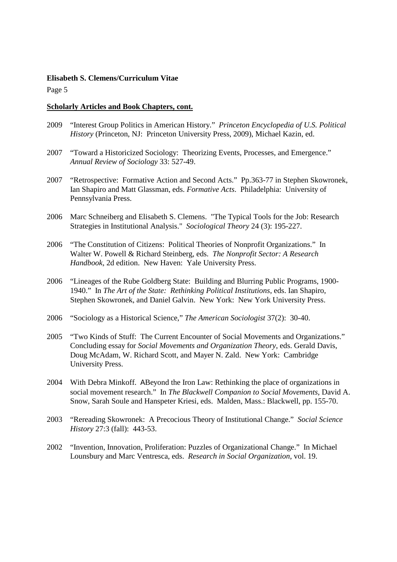Page 5

#### **Scholarly Articles and Book Chapters, cont.**

- 2009 "Interest Group Politics in American History." *Princeton Encyclopedia of U.S. Political History* (Princeton, NJ: Princeton University Press, 2009), Michael Kazin, ed.
- 2007 "Toward a Historicized Sociology: Theorizing Events, Processes, and Emergence." *Annual Review of Sociology* 33: 527-49.
- 2007 "Retrospective: Formative Action and Second Acts." Pp.363-77 in Stephen Skowronek, Ian Shapiro and Matt Glassman, eds. *Formative Acts*. Philadelphia: University of Pennsylvania Press.
- 2006 Marc Schneiberg and Elisabeth S. Clemens. "The Typical Tools for the Job: Research Strategies in Institutional Analysis." *Sociological Theory* 24 (3): 195-227.
- 2006 "The Constitution of Citizens: Political Theories of Nonprofit Organizations." In Walter W. Powell & Richard Steinberg, eds. *The Nonprofit Sector: A Research Handbook*, 2d edition. New Haven: Yale University Press.
- 2006 "Lineages of the Rube Goldberg State: Building and Blurring Public Programs, 1900- 1940." In *The Art of the State: Rethinking Political Institutions*, eds. Ian Shapiro, Stephen Skowronek, and Daniel Galvin. New York: New York University Press.
- 2006 "Sociology as a Historical Science," *The American Sociologist* 37(2): 30-40.
- 2005 "Two Kinds of Stuff: The Current Encounter of Social Movements and Organizations." Concluding essay for *Social Movements and Organization Theory*, eds. Gerald Davis, Doug McAdam, W. Richard Scott, and Mayer N. Zald. New York: Cambridge University Press.
- 2004 With Debra Minkoff. ABeyond the Iron Law: Rethinking the place of organizations in social movement research." In *The Blackwell Companion to Social Movements*, David A. Snow, Sarah Soule and Hanspeter Kriesi, eds. Malden, Mass.: Blackwell, pp. 155-70.
- 2003 "Rereading Skowronek: A Precocious Theory of Institutional Change." *Social Science History* 27:3 (fall): 443-53.
- 2002 "Invention, Innovation, Proliferation: Puzzles of Organizational Change." In Michael Lounsbury and Marc Ventresca, eds. *Research in Social Organization*, vol. 19.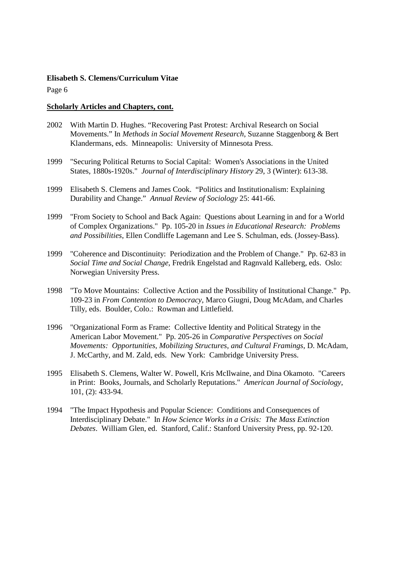Page 6

#### **Scholarly Articles and Chapters, cont.**

- 2002 With Martin D. Hughes. "Recovering Past Protest: Archival Research on Social Movements." In *Methods in Social Movement Research*, Suzanne Staggenborg & Bert Klandermans, eds. Minneapolis: University of Minnesota Press.
- 1999 "Securing Political Returns to Social Capital: Women's Associations in the United States, 1880s-1920s." *Journal of Interdisciplinary History* 29, 3 (Winter): 613-38.
- 1999 Elisabeth S. Clemens and James Cook. "Politics and Institutionalism: Explaining Durability and Change." *Annual Review of Sociology* 25: 441-66.
- 1999 "From Society to School and Back Again: Questions about Learning in and for a World of Complex Organizations." Pp. 105-20 in *Issues in Educational Research: Problems and Possibilities*, Ellen Condliffe Lagemann and Lee S. Schulman, eds. (Jossey-Bass).
- 1999 "Coherence and Discontinuity: Periodization and the Problem of Change." Pp. 62-83 in *Social Time and Social Change*, Fredrik Engelstad and Ragnvald Kalleberg, eds. Oslo: Norwegian University Press.
- 1998 "To Move Mountains: Collective Action and the Possibility of Institutional Change." Pp. 109-23 in *From Contention to Democracy*, Marco Giugni, Doug McAdam, and Charles Tilly, eds. Boulder, Colo.: Rowman and Littlefield.
- 1996 "Organizational Form as Frame: Collective Identity and Political Strategy in the American Labor Movement." Pp. 205-26 in *Comparative Perspectives on Social Movements: Opportunities, Mobilizing Structures, and Cultural Framings*, D. McAdam, J. McCarthy, and M. Zald, eds. New York: Cambridge University Press.
- 1995 Elisabeth S. Clemens, Walter W. Powell, Kris McIlwaine, and Dina Okamoto. "Careers in Print: Books, Journals, and Scholarly Reputations." *American Journal of Sociology*, 101, (2): 433-94.
- 1994 "The Impact Hypothesis and Popular Science: Conditions and Consequences of Interdisciplinary Debate." In *How Science Works in a Crisis: The Mass Extinction Debates*. William Glen, ed. Stanford, Calif.: Stanford University Press, pp. 92-120.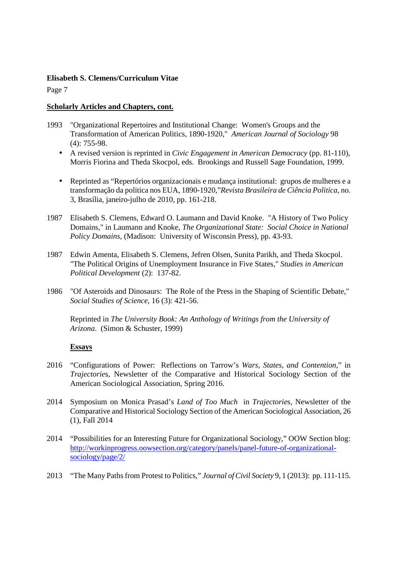Page 7

## **Scholarly Articles and Chapters, cont.**

- 1993 "Organizational Repertoires and Institutional Change: Women's Groups and the Transformation of American Politics, 1890-1920," *American Journal of Sociology* 98 (4): 755-98.
	- A revised version is reprinted in *Civic Engagement in American Democracy* (pp. 81-110), Morris Fiorina and Theda Skocpol, eds. Brookings and Russell Sage Foundation, 1999.
	- Reprinted as "Repertórios organizacionais e mudança institutional: grupos de mulheres e a transformação da politica nos EUA, 1890-1920,"*Revista Brasileira de Ciência Politica,* no. 3, Brasília, janeiro-julho de 2010, pp. 161-218.
- 1987 Elisabeth S. Clemens, Edward O. Laumann and David Knoke. "A History of Two Policy Domains," in Laumann and Knoke, *The Organizational State: Social Choice in National Policy Domains*, (Madison: University of Wisconsin Press), pp. 43-93.
- 1987 Edwin Amenta, Elisabeth S. Clemens, Jefren Olsen, Sunita Parikh, and Theda Skocpol. "The Political Origins of Unemployment Insurance in Five States," *Studies in American Political Development* (2): 137-82.
- 1986 "Of Asteroids and Dinosaurs: The Role of the Press in the Shaping of Scientific Debate," *Social Studies of Science*, 16 (3): 421-56.

Reprinted in *The University Book: An Anthology of Writings from the University of Arizona*. (Simon & Schuster, 1999)

# **Essays**

- 2016 "Configurations of Power: Reflections on Tarrow's *Wars, States, and Contention*," in *Trajectorie*s, Newsletter of the Comparative and Historical Sociology Section of the American Sociological Association, Spring 2016.
- 2014 Symposium on Monica Prasad's *Land of Too Much* in *Trajectorie*s, Newsletter of the Comparative and Historical Sociology Section of the American Sociological Association, 26 (1), Fall 2014
- 2014 "Possibilities for an Interesting Future for Organizational Sociology," OOW Section blog: http://workinprogress.oowsection.org/category/panels/panel-future-of-organizationalsociology/page/2/
- 2013 "The Many Paths from Protest to Politics," *Journal of Civil Society* 9, 1 (2013): pp. 111-115.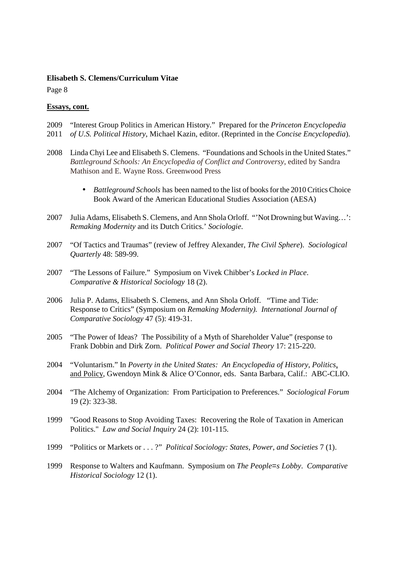Page 8

#### **Essays, cont.**

- 2009 "Interest Group Politics in American History." Prepared for the *Princeton Encyclopedia*
- 2011 *of U.S. Political History*, Michael Kazin, editor. (Reprinted in the *Concise Encyclopedia*).
- 2008 Linda Chyi Lee and Elisabeth S. Clemens. "Foundations and Schools in the United States." *Battleground Schools: An Encyclopedia of Conflict and Controversy*, edited by Sandra Mathison and E. Wayne Ross. Greenwood Press
	- *Battleground Schools* has been named to the list of books for the 2010 Critics Choice Book Award of the American Educational Studies Association (AESA)
- 2007 Julia Adams, Elisabeth S. Clemens, and Ann Shola Orloff. "'Not Drowning but Waving…': *Remaking Modernity* and its Dutch Critics.' *Sociologie*.
- 2007 "Of Tactics and Traumas" (review of Jeffrey Alexander, *The Civil Sphere*). *Sociological Quarterly* 48: 589-99.
- 2007 "The Lessons of Failure." Symposium on Vivek Chibber's *Locked in Place*. *Comparative & Historical Sociology* 18 (2).
- 2006 Julia P. Adams, Elisabeth S. Clemens, and Ann Shola Orloff. "Time and Tide: Response to Critics" (Symposium on *Remaking Modernity). International Journal of Comparative Sociology* 47 (5): 419-31.
- 2005 "The Power of Ideas? The Possibility of a Myth of Shareholder Value" (response to Frank Dobbin and Dirk Zorn. *Political Power and Social Theory* 17: 215-220.
- 2004 "Voluntarism." In *Poverty in the United States: An Encyclopedia of History, Politics*, and Policy, Gwendoyn Mink & Alice O'Connor, eds. Santa Barbara, Calif.: ABC-CLIO.
- 2004 "The Alchemy of Organization: From Participation to Preferences." *Sociological Forum* 19 (2): 323-38.
- 1999 "Good Reasons to Stop Avoiding Taxes: Recovering the Role of Taxation in American Politics." *Law and Social Inquiry* 24 (2): 101-115.
- 1999 "Politics or Markets or . . . ?" *Political Sociology: States, Power, and Societies* 7 (1).
- 1999 Response to Walters and Kaufmann. Symposium on *The People*=*s Lobby*. *Comparative Historical Sociology* 12 (1).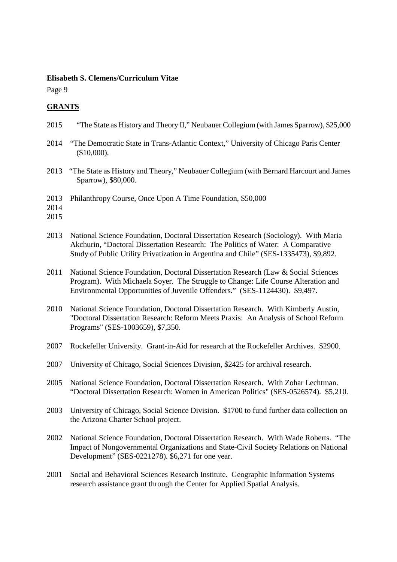Page 9

# **GRANTS**

- 2015 "The State as History and Theory II," Neubauer Collegium (with James Sparrow), \$25,000
- 2014 "The Democratic State in Trans-Atlantic Context," University of Chicago Paris Center (\$10,000).
- 2013 "The State as History and Theory," Neubauer Collegium (with Bernard Harcourt and James Sparrow), \$80,000.
- 2013 Philanthropy Course, Once Upon A Time Foundation, \$50,000
- 2014
- 2015
- 2013 National Science Foundation, Doctoral Dissertation Research (Sociology). With Maria Akchurin, "Doctoral Dissertation Research: The Politics of Water: A Comparative Study of Public Utility Privatization in Argentina and Chile" (SES-1335473), \$9,892.
- 2011 National Science Foundation, Doctoral Dissertation Research (Law & Social Sciences Program). With Michaela Soyer. The Struggle to Change: Life Course Alteration and Environmental Opportunities of Juvenile Offenders." (SES-1124430). \$9,497.
- 2010 National Science Foundation, Doctoral Dissertation Research. With Kimberly Austin, "Doctoral Dissertation Research: Reform Meets Praxis: An Analysis of School Reform Programs" (SES-1003659), \$7,350.
- 2007 Rockefeller University. Grant-in-Aid for research at the Rockefeller Archives. \$2900.
- 2007 University of Chicago, Social Sciences Division, \$2425 for archival research.
- 2005 National Science Foundation, Doctoral Dissertation Research. With Zohar Lechtman. "Doctoral Dissertation Research: Women in American Politics" (SES-0526574). \$5,210.
- 2003 University of Chicago, Social Science Division. \$1700 to fund further data collection on the Arizona Charter School project.
- 2002 National Science Foundation, Doctoral Dissertation Research. With Wade Roberts. "The Impact of Nongovernmental Organizations and State-Civil Society Relations on National Development" (SES-0221278). \$6,271 for one year.
- 2001 Social and Behavioral Sciences Research Institute. Geographic Information Systems research assistance grant through the Center for Applied Spatial Analysis.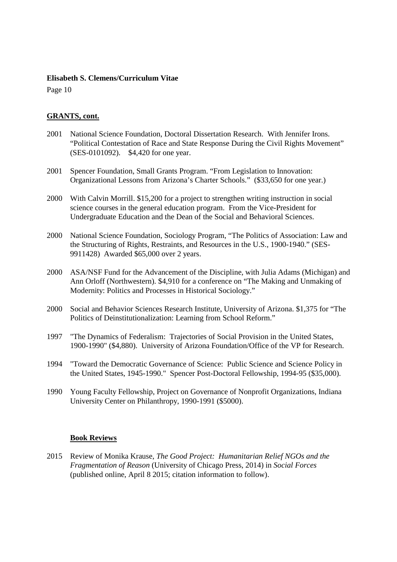Page 10

# **GRANTS, cont.**

- 2001 National Science Foundation, Doctoral Dissertation Research. With Jennifer Irons. "Political Contestation of Race and State Response During the Civil Rights Movement" (SES-0101092). \$4,420 for one year.
- 2001 Spencer Foundation, Small Grants Program. "From Legislation to Innovation: Organizational Lessons from Arizona's Charter Schools." (\$33,650 for one year.)
- 2000 With Calvin Morrill. \$15,200 for a project to strengthen writing instruction in social science courses in the general education program. From the Vice-President for Undergraduate Education and the Dean of the Social and Behavioral Sciences.
- 2000 National Science Foundation, Sociology Program, "The Politics of Association: Law and the Structuring of Rights, Restraints, and Resources in the U.S., 1900-1940." (SES-9911428) Awarded \$65,000 over 2 years.
- 2000 ASA/NSF Fund for the Advancement of the Discipline, with Julia Adams (Michigan) and Ann Orloff (Northwestern). \$4,910 for a conference on "The Making and Unmaking of Modernity: Politics and Processes in Historical Sociology."
- 2000 Social and Behavior Sciences Research Institute, University of Arizona. \$1,375 for "The Politics of Deinstitutionalization: Learning from School Reform."
- 1997 "The Dynamics of Federalism: Trajectories of Social Provision in the United States, 1900-1990" (\$4,880). University of Arizona Foundation/Office of the VP for Research.
- 1994 "Toward the Democratic Governance of Science: Public Science and Science Policy in the United States, 1945-1990." Spencer Post-Doctoral Fellowship, 1994-95 (\$35,000).
- 1990 Young Faculty Fellowship, Project on Governance of Nonprofit Organizations, Indiana University Center on Philanthropy, 1990-1991 (\$5000).

# **Book Reviews**

2015 Review of Monika Krause, *The Good Project: Humanitarian Relief NGOs and the Fragmentation of Reason* (University of Chicago Press, 2014) in *Social Forces* (published online, April 8 2015; citation information to follow).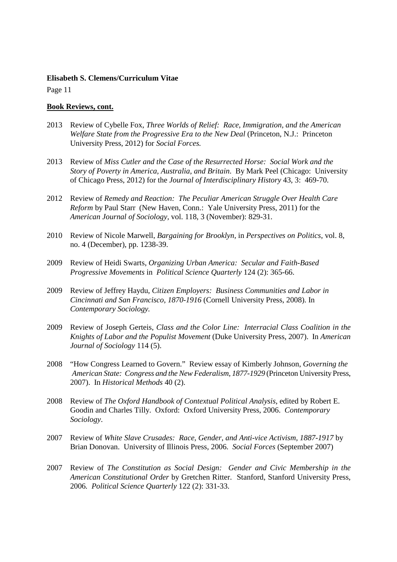Page 11

#### **Book Reviews, cont.**

- 2013 Review of Cybelle Fox, *Three Worlds of Relief: Race, Immigration, and the American Welfare State from the Progressive Era to the New Deal* (Princeton, N.J.: Princeton University Press, 2012) for *Social Forces.*
- 2013 Review of *Miss Cutler and the Case of the Resurrected Horse: Social Work and the Story of Poverty in America, Australia, and Britain*. By Mark Peel (Chicago: University of Chicago Press, 2012) for the *Journal of Interdisciplinary History* 43, 3: 469-70.
- 2012 Review of *Remedy and Reaction: The Peculiar American Struggle Over Health Care Reform* by Paul Starr (New Haven, Conn.: Yale University Press, 2011) for the *American Journal of Sociology,* vol. 118, 3 (November): 829-31.
- 2010 Review of Nicole Marwell, *Bargaining for Brooklyn,* in *Perspectives on Politics*, vol. 8, no. 4 (December), pp. 1238-39.
- 2009 Review of Heidi Swarts, *Organizing Urban America: Secular and Faith-Based Progressive Movements* in *Political Science Quarterly* 124 (2): 365-66.
- 2009 Review of Jeffrey Haydu, *Citizen Employers: Business Communities and Labor in Cincinnati and San Francisco, 1870-1916* (Cornell University Press, 2008). In *Contemporary Sociology.*
- 2009 Review of Joseph Gerteis, *Class and the Color Line: Interracial Class Coalition in the Knights of Labor and the Populist Movement* (Duke University Press, 2007). In *American Journal of Sociology* 114 (5).
- 2008 "How Congress Learned to Govern." Review essay of Kimberly Johnson, *Governing the American State: Congress and the New Federalism, 1877-1929* (Princeton University Press, 2007). In *Historical Methods* 40 (2).
- 2008 Review of *The Oxford Handbook of Contextual Political Analysis*, edited by Robert E. Goodin and Charles Tilly. Oxford: Oxford University Press, 2006. *Contemporary Sociology*.
- 2007 Review of *White Slave Crusades: Race, Gender, and Anti-vice Activism, 1887-1917* by Brian Donovan. University of Illinois Press, 2006. *Social Forces* (September 2007)
- 2007 Review of *The Constitution as Social Design: Gender and Civic Membership in the American Constitutional Order* by Gretchen Ritter. Stanford, Stanford University Press, 2006*. Political Science Quarterly* 122 (2): 331-33.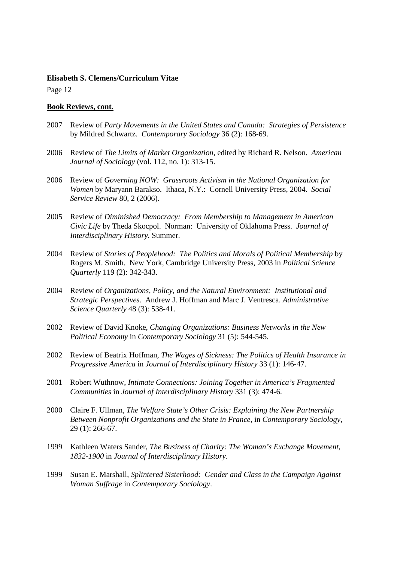Page 12

#### **Book Reviews, cont.**

- 2007 Review of *Party Movements in the United States and Canada: Strategies of Persistence* by Mildred Schwartz. *Contemporary Sociology* 36 (2): 168-69.
- 2006 Review of *The Limits of Market Organization*, edited by Richard R. Nelson. *American Journal of Sociology* (vol. 112, no. 1): 313-15.
- 2006 Review of *Governing NOW: Grassroots Activism in the National Organization for Women* by Maryann Barakso. Ithaca, N.Y.: Cornell University Press, 2004. *Social Service Review* 80, 2 (2006).
- 2005 Review of *Diminished Democracy: From Membership to Management in American Civic Life* by Theda Skocpol. Norman: University of Oklahoma Press. *Journal of Interdisciplinary History*. Summer.
- 2004 Review of *Stories of Peoplehood: The Politics and Morals of Political Membership* by Rogers M. Smith. New York, Cambridge University Press, 2003 in *Political Science Quarterly* 119 (2): 342-343.
- 2004 Review of *Organizations, Policy, and the Natural Environment: Institutional and Strategic Perspectives*. Andrew J. Hoffman and Marc J. Ventresca. *Administrative Science Quarterly* 48 (3): 538-41.
- 2002 Review of David Knoke, *Changing Organizations: Business Networks in the New Political Economy* in *Contemporary Sociology* 31 (5): 544-545.
- 2002 Review of Beatrix Hoffman, *The Wages of Sickness: The Politics of Health Insurance in Progressive America* in *Journal of Interdisciplinary History* 33 (1): 146-47.
- 2001 Robert Wuthnow, *Intimate Connections: Joining Together in America's Fragmented Communities* in *Journal of Interdisciplinary History* 331 (3): 474-6.
- 2000 Claire F. Ullman, *The Welfare State's Other Crisis: Explaining the New Partnership Between Nonprofit Organizations and the State in France*, in *Contemporary Sociology*, 29 (1): 266-67.
- 1999 Kathleen Waters Sander, *The Business of Charity: The Woman's Exchange Movement, 1832-1900* in *Journal of Interdisciplinary History*.
- 1999 Susan E. Marshall, *Splintered Sisterhood: Gender and Class in the Campaign Against Woman Suffrage* in *Contemporary Sociology*.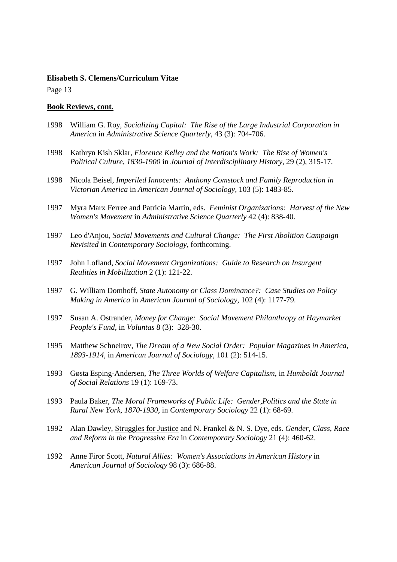Page 13

#### **Book Reviews, cont.**

- 1998 William G. Roy, *Socializing Capital: The Rise of the Large Industrial Corporation in America* in *Administrative Science Quarterly*, 43 (3): 704-706.
- 1998 Kathryn Kish Sklar, *Florence Kelley and the Nation's Work: The Rise of Women's Political Culture, 1830-1900* in *Journal of Interdisciplinary History*, 29 (2), 315-17.
- 1998 Nicola Beisel*, Imperiled Innocents: Anthony Comstock and Family Reproduction in Victorian America* in *American Journal of Sociology*, 103 (5): 1483-85.
- 1997 Myra Marx Ferree and Patricia Martin, eds. *Feminist Organizations: Harvest of the New Women's Movement* in *Administrative Science Quarterly* 42 (4): 838-40.
- 1997 Leo d'Anjou, *Social Movements and Cultural Change: The First Abolition Campaign Revisited* in *Contemporary Sociology*, forthcoming.
- 1997 John Lofland, *Social Movement Organizations: Guide to Research on Insurgent Realities in Mobilization* 2 (1): 121-22.
- 1997 G. William Domhoff, *State Autonomy or Class Dominance?: Case Studies on Policy Making in America* in *American Journal of Sociology*, 102 (4): 1177-79.
- 1997 Susan A. Ostrander, *Money for Change: Social Movement Philanthropy at Haymarket People's Fund*, in *Voluntas* 8 (3): 328-30.
- 1995 Matthew Schneirov, *The Dream of a New Social Order: Popular Magazines in America, 1893-1914*, in *American Journal of Sociology*, 101 (2): 514-15.
- 1993 Gøsta Esping-Andersen, *The Three Worlds of Welfare Capitalism*, in *Humboldt Journal of Social Relations* 19 (1): 169-73.
- 1993 Paula Baker, *The Moral Frameworks of Public Life: Gender,Politics and the State in Rural New York, 1870-1930*, in *Contemporary Sociology* 22 (1): 68-69.
- 1992 Alan Dawley, Struggles for Justice and N. Frankel & N. S. Dye, eds. *Gender, Class, Race and Reform in the Progressive Era* in *Contemporary Sociology* 21 (4): 460-62.
- 1992 Anne Firor Scott, *Natural Allies: Women's Associations in American History* in *American Journal of Sociology* 98 (3): 686-88.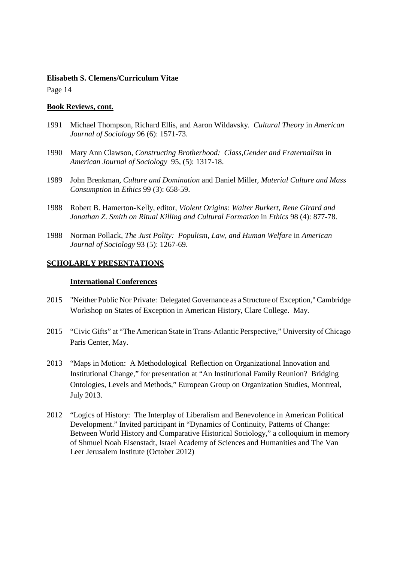Page 14

#### **Book Reviews, cont.**

- 1991 Michael Thompson, Richard Ellis, and Aaron Wildavsky. *Cultural Theory* in *American Journal of Sociology* 96 (6): 1571-73.
- 1990 Mary Ann Clawson, *Constructing Brotherhood: Class,Gender and Fraternalism* in *American Journal of Sociology* 95, (5): 1317-18.
- 1989 John Brenkman, *Culture and Domination* and Daniel Miller, *Material Culture and Mass Consumption* in *Ethics* 99 (3): 658-59.
- 1988 Robert B. Hamerton-Kelly, editor, *Violent Origins: Walter Burkert, Rene Girard and Jonathan Z. Smith on Ritual Killing and Cultural Formation* in *Ethics* 98 (4): 877-78.
- 1988 Norman Pollack, *The Just Polity: Populism, Law, and Human Welfare* in *American Journal of Sociology* 93 (5): 1267-69.

# **SCHOLARLY PRESENTATIONS**

#### **International Conferences**

- 2015 "Neither Public Nor Private: Delegated Governance as a Structure of Exception," Cambridge Workshop on States of Exception in American History, Clare College. May.
- 2015 "Civic Gifts" at "The American State in Trans-Atlantic Perspective," University of Chicago Paris Center, May.
- 2013 "Maps in Motion: A Methodological Reflection on Organizational Innovation and Institutional Change," for presentation at "An Institutional Family Reunion? Bridging Ontologies, Levels and Methods," European Group on Organization Studies, Montreal, July 2013.
- 2012 "Logics of History: The Interplay of Liberalism and Benevolence in American Political Development." Invited participant in "Dynamics of Continuity, Patterns of Change: Between World History and Comparative Historical Sociology," a colloquium in memory of Shmuel Noah Eisenstadt, Israel Academy of Sciences and Humanities and The Van Leer Jerusalem Institute (October 2012)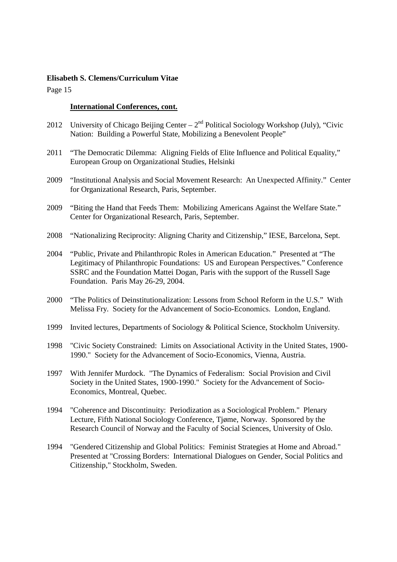Page 15

#### **International Conferences, cont.**

- 2012 University of Chicago Beijing Center  $2<sup>nd</sup>$  Political Sociology Workshop (July), "Civic Nation: Building a Powerful State, Mobilizing a Benevolent People"
- 2011 "The Democratic Dilemma: Aligning Fields of Elite Influence and Political Equality," European Group on Organizational Studies, Helsinki
- 2009 "Institutional Analysis and Social Movement Research: An Unexpected Affinity." Center for Organizational Research, Paris, September.
- 2009 "Biting the Hand that Feeds Them: Mobilizing Americans Against the Welfare State." Center for Organizational Research, Paris, September.
- 2008 "Nationalizing Reciprocity: Aligning Charity and Citizenship," IESE, Barcelona, Sept.
- 2004 "Public, Private and Philanthropic Roles in American Education." Presented at "The Legitimacy of Philanthropic Foundations: US and European Perspectives." Conference SSRC and the Foundation Mattei Dogan, Paris with the support of the Russell Sage Foundation. Paris May 26-29, 2004.
- 2000 "The Politics of Deinstitutionalization: Lessons from School Reform in the U.S." With Melissa Fry. Society for the Advancement of Socio-Economics. London, England.
- 1999 Invited lectures, Departments of Sociology & Political Science, Stockholm University.
- 1998 "Civic Society Constrained: Limits on Associational Activity in the United States, 1900- 1990." Society for the Advancement of Socio-Economics, Vienna, Austria.
- 1997 With Jennifer Murdock. "The Dynamics of Federalism: Social Provision and Civil Society in the United States, 1900-1990." Society for the Advancement of Socio-Economics, Montreal, Quebec.
- 1994 "Coherence and Discontinuity: Periodization as a Sociological Problem." Plenary Lecture, Fifth National Sociology Conference, Tjøme, Norway. Sponsored by the Research Council of Norway and the Faculty of Social Sciences, University of Oslo.
- 1994 "Gendered Citizenship and Global Politics: Feminist Strategies at Home and Abroad." Presented at "Crossing Borders: International Dialogues on Gender, Social Politics and Citizenship," Stockholm, Sweden.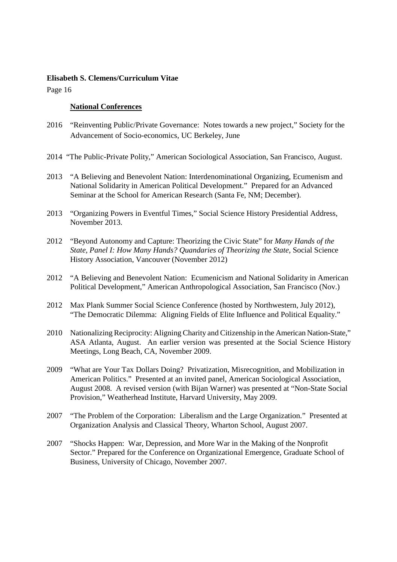Page 16

#### **National Conferences**

- 2016 "Reinventing Public/Private Governance: Notes towards a new project," Society for the Advancement of Socio-economics, UC Berkeley, June
- 2014 "The Public-Private Polity," American Sociological Association, San Francisco, August.
- 2013 "A Believing and Benevolent Nation: Interdenominational Organizing, Ecumenism and National Solidarity in American Political Development."Prepared for an Advanced Seminar at the School for American Research (Santa Fe, NM; December).
- 2013 "Organizing Powers in Eventful Times," Social Science History Presidential Address, November 2013.
- 2012 "Beyond Autonomy and Capture: Theorizing the Civic State" for *Many Hands of the State, Panel I: How Many Hands? Quandaries of Theorizing the State*, Social Science History Association, Vancouver (November 2012)
- 2012 "A Believing and Benevolent Nation: Ecumenicism and National Solidarity in American Political Development," American Anthropological Association, San Francisco (Nov.)
- 2012 Max Plank Summer Social Science Conference (hosted by Northwestern, July 2012), "The Democratic Dilemma: Aligning Fields of Elite Influence and Political Equality."
- 2010 Nationalizing Reciprocity: Aligning Charity and Citizenship in the American Nation-State," ASA Atlanta, August. An earlier version was presented at the Social Science History Meetings, Long Beach, CA, November 2009.
- 2009 "What are Your Tax Dollars Doing? Privatization, Misrecognition, and Mobilization in American Politics." Presented at an invited panel, American Sociological Association, August 2008. A revised version (with Bijan Warner) was presented at "Non-State Social Provision," Weatherhead Institute, Harvard University, May 2009.
- 2007 "The Problem of the Corporation: Liberalism and the Large Organization." Presented at Organization Analysis and Classical Theory, Wharton School, August 2007.
- 2007 "Shocks Happen: War, Depression, and More War in the Making of the Nonprofit Sector." Prepared for the Conference on Organizational Emergence, Graduate School of Business, University of Chicago, November 2007.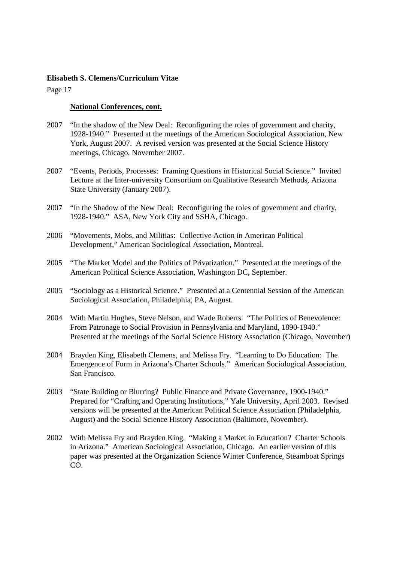Page 17

#### **National Conferences, cont.**

- 2007 "In the shadow of the New Deal: Reconfiguring the roles of government and charity, 1928-1940." Presented at the meetings of the American Sociological Association, New York, August 2007. A revised version was presented at the Social Science History meetings, Chicago, November 2007.
- 2007 "Events, Periods, Processes: Framing Questions in Historical Social Science." Invited Lecture at the Inter-university Consortium on Qualitative Research Methods, Arizona State University (January 2007).
- 2007 "In the Shadow of the New Deal: Reconfiguring the roles of government and charity, 1928-1940." ASA, New York City and SSHA, Chicago.
- 2006 "Movements, Mobs, and Militias: Collective Action in American Political Development," American Sociological Association, Montreal.
- 2005 "The Market Model and the Politics of Privatization." Presented at the meetings of the American Political Science Association, Washington DC, September.
- 2005 "Sociology as a Historical Science." Presented at a Centennial Session of the American Sociological Association, Philadelphia, PA, August.
- 2004 With Martin Hughes, Steve Nelson, and Wade Roberts. "The Politics of Benevolence: From Patronage to Social Provision in Pennsylvania and Maryland, 1890-1940." Presented at the meetings of the Social Science History Association (Chicago, November)
- 2004 Brayden King, Elisabeth Clemens, and Melissa Fry. "Learning to Do Education: The Emergence of Form in Arizona's Charter Schools." American Sociological Association, San Francisco.
- 2003 "State Building or Blurring? Public Finance and Private Governance, 1900-1940." Prepared for "Crafting and Operating Institutions," Yale University, April 2003. Revised versions will be presented at the American Political Science Association (Philadelphia, August) and the Social Science History Association (Baltimore, November).
- 2002 With Melissa Fry and Brayden King. "Making a Market in Education? Charter Schools in Arizona." American Sociological Association, Chicago. An earlier version of this paper was presented at the Organization Science Winter Conference, Steamboat Springs CO.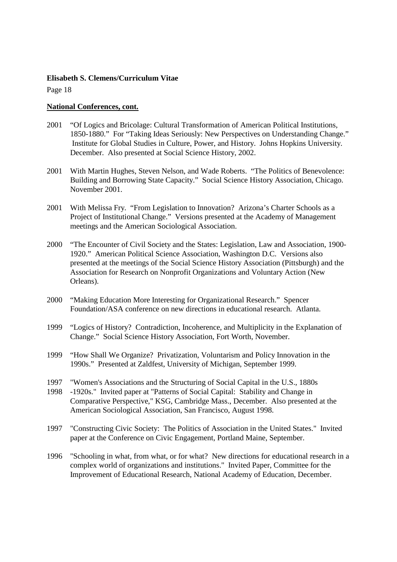Page 18

#### **National Conferences, cont.**

- 2001 "Of Logics and Bricolage: Cultural Transformation of American Political Institutions, 1850-1880." For "Taking Ideas Seriously: New Perspectives on Understanding Change." Institute for Global Studies in Culture, Power, and History. Johns Hopkins University. December. Also presented at Social Science History, 2002.
- 2001 With Martin Hughes, Steven Nelson, and Wade Roberts. "The Politics of Benevolence: Building and Borrowing State Capacity." Social Science History Association, Chicago. November 2001.
- 2001 With Melissa Fry. "From Legislation to Innovation? Arizona's Charter Schools as a Project of Institutional Change." Versions presented at the Academy of Management meetings and the American Sociological Association.
- 2000 "The Encounter of Civil Society and the States: Legislation, Law and Association, 1900- 1920." American Political Science Association, Washington D.C. Versions also presented at the meetings of the Social Science History Association (Pittsburgh) and the Association for Research on Nonprofit Organizations and Voluntary Action (New Orleans).
- 2000 "Making Education More Interesting for Organizational Research." Spencer Foundation/ASA conference on new directions in educational research. Atlanta.
- 1999 "Logics of History? Contradiction, Incoherence, and Multiplicity in the Explanation of Change." Social Science History Association, Fort Worth, November.
- 1999 "How Shall We Organize? Privatization, Voluntarism and Policy Innovation in the 1990s." Presented at Zaldfest, University of Michigan, September 1999.
- 1997 "Women's Associations and the Structuring of Social Capital in the U.S., 1880s
- 1998 -1920s." Invited paper at "Patterns of Social Capital: Stability and Change in Comparative Perspective," KSG, Cambridge Mass., December. Also presented at the American Sociological Association, San Francisco, August 1998.
- 1997 "Constructing Civic Society: The Politics of Association in the United States." Invited paper at the Conference on Civic Engagement, Portland Maine, September.
- 1996 "Schooling in what, from what, or for what? New directions for educational research in a complex world of organizations and institutions." Invited Paper, Committee for the Improvement of Educational Research, National Academy of Education, December.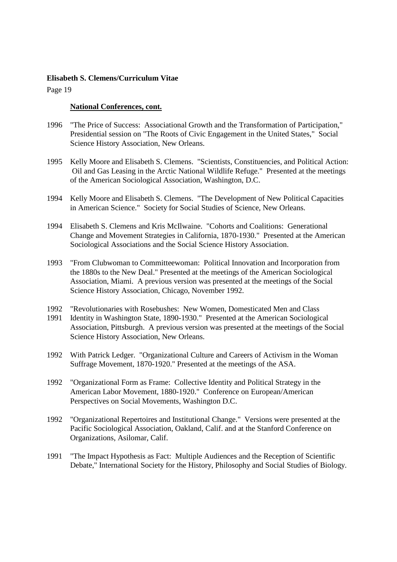Page 19

#### **National Conferences, cont.**

- 1996 "The Price of Success: Associational Growth and the Transformation of Participation," Presidential session on "The Roots of Civic Engagement in the United States," Social Science History Association, New Orleans.
- 1995 Kelly Moore and Elisabeth S. Clemens. "Scientists, Constituencies, and Political Action: Oil and Gas Leasing in the Arctic National Wildlife Refuge." Presented at the meetings of the American Sociological Association, Washington, D.C.
- 1994 Kelly Moore and Elisabeth S. Clemens. "The Development of New Political Capacities in American Science." Society for Social Studies of Science, New Orleans.
- 1994 Elisabeth S. Clemens and Kris McIlwaine. "Cohorts and Coalitions: Generational Change and Movement Strategies in California, 1870-1930." Presented at the American Sociological Associations and the Social Science History Association.
- 1993 "From Clubwoman to Committeewoman: Political Innovation and Incorporation from the 1880s to the New Deal." Presented at the meetings of the American Sociological Association, Miami. A previous version was presented at the meetings of the Social Science History Association, Chicago, November 1992.
- 1992 "Revolutionaries with Rosebushes: New Women, Domesticated Men and Class
- 1991 Identity in Washington State, 1890-1930." Presented at the American Sociological Association, Pittsburgh. A previous version was presented at the meetings of the Social Science History Association, New Orleans.
- 1992 With Patrick Ledger. "Organizational Culture and Careers of Activism in the Woman Suffrage Movement, 1870-1920." Presented at the meetings of the ASA.
- 1992 "Organizational Form as Frame: Collective Identity and Political Strategy in the American Labor Movement, 1880-1920." Conference on European/American Perspectives on Social Movements, Washington D.C.
- 1992 "Organizational Repertoires and Institutional Change." Versions were presented at the Pacific Sociological Association, Oakland, Calif. and at the Stanford Conference on Organizations, Asilomar, Calif.
- 1991 "The Impact Hypothesis as Fact: Multiple Audiences and the Reception of Scientific Debate," International Society for the History, Philosophy and Social Studies of Biology.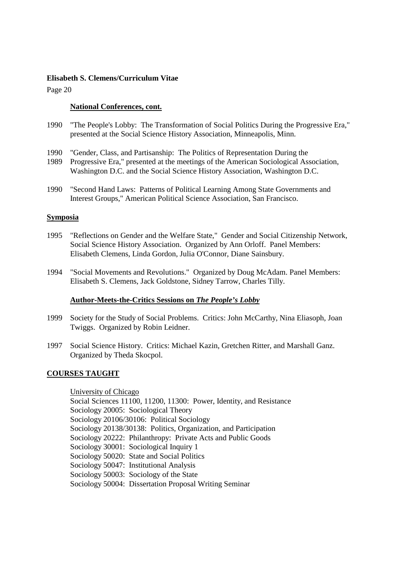Page 20

## **National Conferences, cont.**

- 1990 "The People's Lobby: The Transformation of Social Politics During the Progressive Era," presented at the Social Science History Association, Minneapolis, Minn.
- 1990 "Gender, Class, and Partisanship: The Politics of Representation During the
- 1989 Progressive Era," presented at the meetings of the American Sociological Association, Washington D.C. and the Social Science History Association, Washington D.C.
- 1990 "Second Hand Laws: Patterns of Political Learning Among State Governments and Interest Groups," American Political Science Association, San Francisco.

#### **Symposia**

- 1995 "Reflections on Gender and the Welfare State," Gender and Social Citizenship Network, Social Science History Association. Organized by Ann Orloff. Panel Members: Elisabeth Clemens, Linda Gordon, Julia O'Connor, Diane Sainsbury.
- 1994 "Social Movements and Revolutions." Organized by Doug McAdam. Panel Members: Elisabeth S. Clemens, Jack Goldstone, Sidney Tarrow, Charles Tilly.

# **Author-Meets-the-Critics Sessions on** *The People's Lobby*

- 1999 Society for the Study of Social Problems. Critics: John McCarthy, Nina Eliasoph, Joan Twiggs. Organized by Robin Leidner.
- 1997 Social Science History. Critics: Michael Kazin, Gretchen Ritter, and Marshall Ganz. Organized by Theda Skocpol.

# **COURSES TAUGHT**

 University of Chicago Social Sciences 11100, 11200, 11300: Power, Identity, and Resistance Sociology 20005: Sociological Theory Sociology 20106/30106: Political Sociology Sociology 20138/30138: Politics, Organization, and Participation Sociology 20222: Philanthropy: Private Acts and Public Goods Sociology 30001: Sociological Inquiry 1 Sociology 50020: State and Social Politics Sociology 50047: Institutional Analysis Sociology 50003: Sociology of the State Sociology 50004: Dissertation Proposal Writing Seminar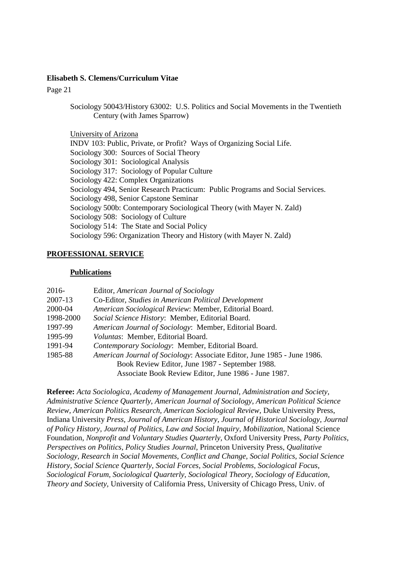Page 21

Sociology 50043/History 63002: U.S. Politics and Social Movements in the Twentieth Century (with James Sparrow)

University of Arizona INDV 103: Public, Private, or Profit? Ways of Organizing Social Life. Sociology 300: Sources of Social Theory Sociology 301: Sociological Analysis Sociology 317: Sociology of Popular Culture Sociology 422: Complex Organizations Sociology 494, Senior Research Practicum: Public Programs and Social Services. Sociology 498, Senior Capstone Seminar Sociology 500b: Contemporary Sociological Theory (with Mayer N. Zald) Sociology 508: Sociology of Culture Sociology 514: The State and Social Policy Sociology 596: Organization Theory and History (with Mayer N. Zald)

# **PROFESSIONAL SERVICE**

#### **Publications**

| $2016-$   | Editor, American Journal of Sociology                                   |
|-----------|-------------------------------------------------------------------------|
| 2007-13   | Co-Editor, Studies in American Political Development                    |
| 2000-04   | American Sociological Review: Member, Editorial Board.                  |
| 1998-2000 | Social Science History: Member, Editorial Board.                        |
| 1997-99   | American Journal of Sociology: Member, Editorial Board.                 |
| 1995-99   | Voluntas: Member, Editorial Board.                                      |
| 1991-94   | Contemporary Sociology: Member, Editorial Board.                        |
| 1985-88   | American Journal of Sociology: Associate Editor, June 1985 - June 1986. |
|           | Book Review Editor, June 1987 - September 1988.                         |
|           | Associate Book Review Editor, June 1986 - June 1987.                    |

**Referee:** *Acta Sociologica, Academy of Management Journal, Administration and Society, Administrative Science Quarterly, American Journal of Sociology, American Political Science Review, American Politics Research, American Sociological Review,* Duke University Press, Indiana University *Press, Journal of American History, Journal of Historical Sociology, Journal of Policy History, Journal of Politics, Law and Social Inquiry, Mobilization,* National Science Foundation*, Nonprofit and Voluntary Studies Quarterly,* Oxford University Press, *Party Politics, Perspectives on Politics, Policy Studies Journal,* Princeton University Press, *Qualitative Sociology, Research in Social Movements, Conflict and Change, Social Politics, Social Science History, Social Science Quarterly, Social Forces, Social Problems, Sociological Focus, Sociological Forum, Sociological Quarterly, Sociological Theory, Sociology of Education, Theory and Society,* University of California Press, University of Chicago Press, Univ. of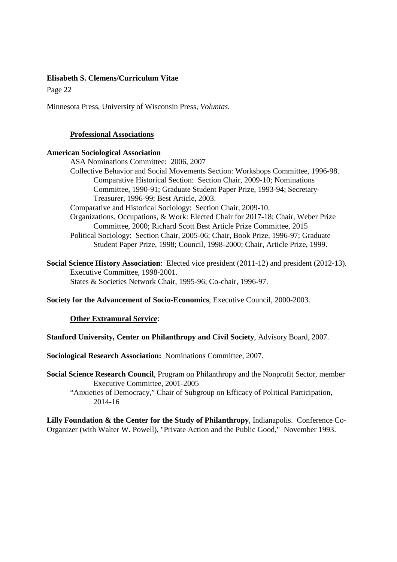Page 22

Minnesota Press, University of Wisconsin Press*, Voluntas.* 

#### **Professional Associations**

#### **American Sociological Association**

ASA Nominations Committee: 2006, 2007

Collective Behavior and Social Movements Section: Workshops Committee, 1996-98. Comparative Historical Section: Section Chair, 2009-10; Nominations Committee, 1990-91; Graduate Student Paper Prize, 1993-94; Secretary-Treasurer, 1996-99; Best Article, 2003.

Comparative and Historical Sociology: Section Chair, 2009-10.

- Organizations, Occupations, & Work: Elected Chair for 2017-18; Chair, Weber Prize Committee, 2000; Richard Scott Best Article Prize Committee, 2015
- Political Sociology: Section Chair, 2005-06; Chair, Book Prize, 1996-97; Graduate Student Paper Prize, 1998; Council, 1998-2000; Chair, Article Prize, 1999.

**Social Science History Association**: Elected vice president (2011-12) and president (2012-13). Executive Committee, 1998-2001. States & Societies Network Chair, 1995-96; Co-chair, 1996-97.

**Society for the Advancement of Socio-Economics**, Executive Council, 2000-2003.

# **Other Extramural Service**:

**Stanford University, Center on Philanthropy and Civil Society**, Advisory Board, 2007.

**Sociological Research Association:** Nominations Committee, 2007.

**Social Science Research Council**, Program on Philanthropy and the Nonprofit Sector, member Executive Committee, 2001-2005

 "Anxieties of Democracy," Chair of Subgroup on Efficacy of Political Participation, 2014-16

**Lilly Foundation & the Center for the Study of Philanthropy**, Indianapolis. Conference Co-Organizer (with Walter W. Powell), "Private Action and the Public Good," November 1993.